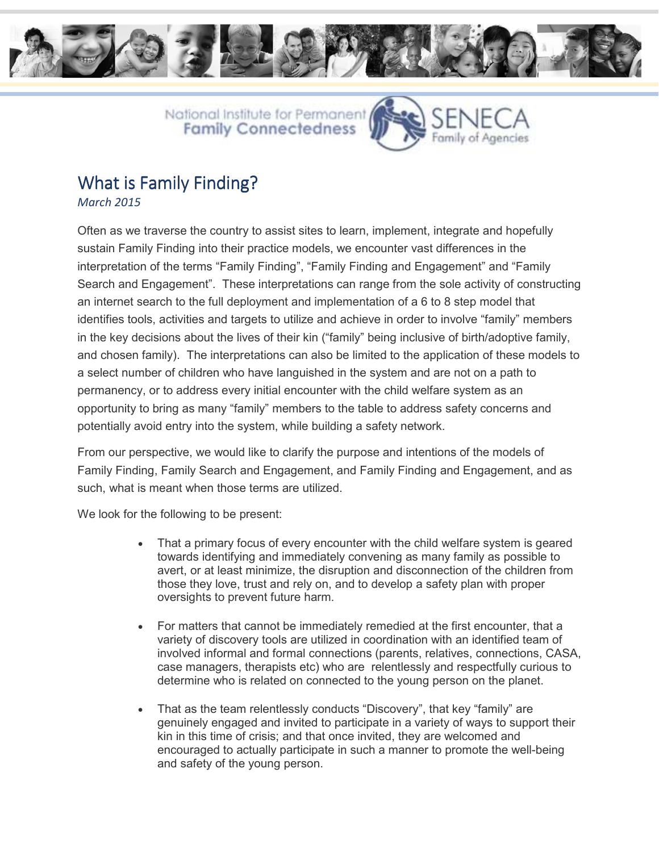



## What is Family Finding?

*March 2015* 

Often as we traverse the country to assist sites to learn, implement, integrate and hopefully sustain Family Finding into their practice models, we encounter vast differences in the interpretation of the terms "Family Finding", "Family Finding and Engagement" and "Family Search and Engagement". These interpretations can range from the sole activity of constructing an internet search to the full deployment and implementation of a 6 to 8 step model that identifies tools, activities and targets to utilize and achieve in order to involve "family" members in the key decisions about the lives of their kin ("family" being inclusive of birth/adoptive family, and chosen family). The interpretations can also be limited to the application of these models to a select number of children who have languished in the system and are not on a path to permanency, or to address every initial encounter with the child welfare system as an opportunity to bring as many "family" members to the table to address safety concerns and potentially avoid entry into the system, while building a safety network.

From our perspective, we would like to clarify the purpose and intentions of the models of Family Finding, Family Search and Engagement, and Family Finding and Engagement, and as such, what is meant when those terms are utilized.

We look for the following to be present:

- That a primary focus of every encounter with the child welfare system is geared towards identifying and immediately convening as many family as possible to avert, or at least minimize, the disruption and disconnection of the children from those they love, trust and rely on, and to develop a safety plan with proper oversights to prevent future harm.
- For matters that cannot be immediately remedied at the first encounter, that a variety of discovery tools are utilized in coordination with an identified team of involved informal and formal connections (parents, relatives, connections, CASA, case managers, therapists etc) who are relentlessly and respectfully curious to determine who is related on connected to the young person on the planet.
- That as the team relentlessly conducts "Discovery", that key "family" are genuinely engaged and invited to participate in a variety of ways to support their kin in this time of crisis; and that once invited, they are welcomed and encouraged to actually participate in such a manner to promote the well-being and safety of the young person.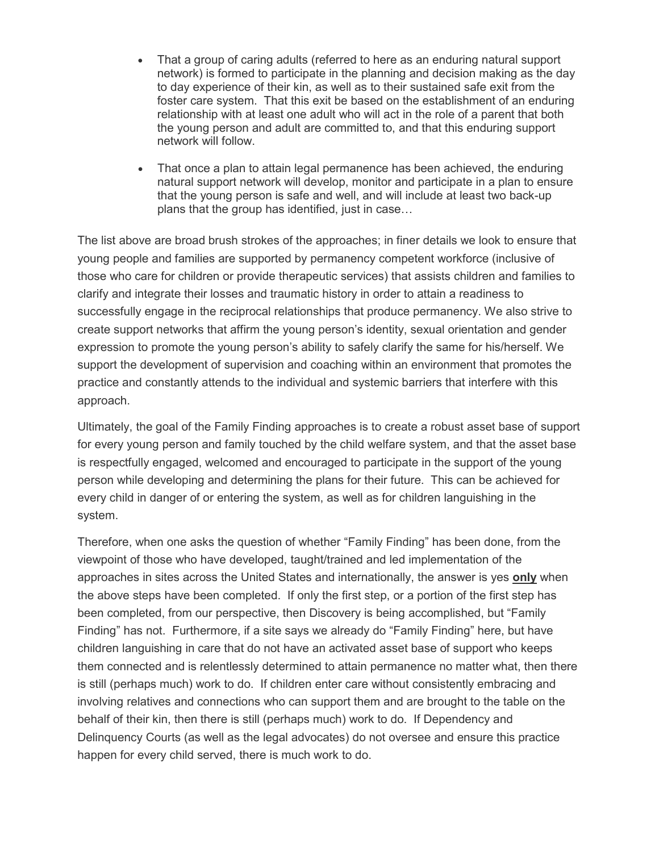- That a group of caring adults (referred to here as an enduring natural support network) is formed to participate in the planning and decision making as the day to day experience of their kin, as well as to their sustained safe exit from the foster care system. That this exit be based on the establishment of an enduring relationship with at least one adult who will act in the role of a parent that both the young person and adult are committed to, and that this enduring support network will follow.
- That once a plan to attain legal permanence has been achieved, the enduring natural support network will develop, monitor and participate in a plan to ensure that the young person is safe and well, and will include at least two back-up plans that the group has identified, just in case...

The list above are broad brush strokes of the approaches; in finer details we look to ensure that young people and families are supported by permanency competent workforce (inclusive of those who care for children or provide therapeutic services) that assists children and families to clarify and integrate their losses and traumatic history in order to attain a readiness to successfully engage in the reciprocal relationships that produce permanency. We also strive to create support networks that affirm the young person's identity, sexual orientation and gender expression to promote the young person's ability to safely clarify the same for his/herself. We support the development of supervision and coaching within an environment that promotes the practice and constantly attends to the individual and systemic barriers that interfere with this approach.

Ultimately, the goal of the Family Finding approaches is to create a robust asset base of support for every young person and family touched by the child welfare system, and that the asset base is respectfully engaged, welcomed and encouraged to participate in the support of the young person while developing and determining the plans for their future. This can be achieved for every child in danger of or entering the system, as well as for children languishing in the system.

Therefore, when one asks the question of whether "Family Finding" has been done, from the viewpoint of those who have developed, taught/trained and led implementation of the approaches in sites across the United States and internationally, the answer is yes **only** when the above steps have been completed. If only the first step, or a portion of the first step has been completed, from our perspective, then Discovery is being accomplished, but "Family Finding" has not. Furthermore, if a site says we already do "Family Finding" here, but have children languishing in care that do not have an activated asset base of support who keeps them connected and is relentlessly determined to attain permanence no matter what, then there is still (perhaps much) work to do. If children enter care without consistently embracing and involving relatives and connections who can support them and are brought to the table on the behalf of their kin, then there is still (perhaps much) work to do. If Dependency and Delinquency Courts (as well as the legal advocates) do not oversee and ensure this practice happen for every child served, there is much work to do.